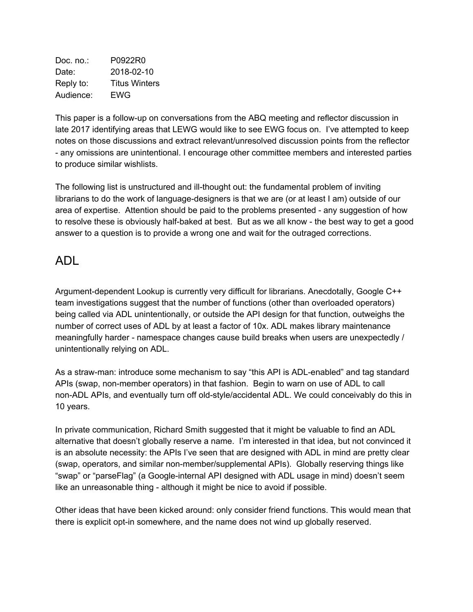Doc. no.: P0922R0 Date: 2018-02-10 Reply to: Titus Winters Audience: EWG

This paper is a follow-up on conversations from the ABQ meeting and reflector discussion in late 2017 identifying areas that LEWG would like to see EWG focus on. I've attempted to keep notes on those discussions and extract relevant/unresolved discussion points from the reflector - any omissions are unintentional. I encourage other committee members and interested parties to produce similar wishlists.

The following list is unstructured and ill-thought out: the fundamental problem of inviting librarians to do the work of language-designers is that we are (or at least I am) outside of our area of expertise. Attention should be paid to the problems presented - any suggestion of how to resolve these is obviously half-baked at best. But as we all know - the best way to get a good answer to a question is to provide a wrong one and wait for the outraged corrections.

### ADL

Argument-dependent Lookup is currently very difficult for librarians. Anecdotally, Google C++ team investigations suggest that the number of functions (other than overloaded operators) being called via ADL unintentionally, or outside the API design for that function, outweighs the number of correct uses of ADL by at least a factor of 10x. ADL makes library maintenance meaningfully harder - namespace changes cause build breaks when users are unexpectedly / unintentionally relying on ADL.

As a straw-man: introduce some mechanism to say "this API is ADL-enabled" and tag standard APIs (swap, non-member operators) in that fashion. Begin to warn on use of ADL to call non-ADL APIs, and eventually turn off old-style/accidental ADL. We could conceivably do this in 10 years.

In private communication, Richard Smith suggested that it might be valuable to find an ADL alternative that doesn't globally reserve a name. I'm interested in that idea, but not convinced it is an absolute necessity: the APIs I've seen that are designed with ADL in mind are pretty clear (swap, operators, and similar non-member/supplemental APIs). Globally reserving things like "swap" or "parseFlag" (a Google-internal API designed with ADL usage in mind) doesn't seem like an unreasonable thing - although it might be nice to avoid if possible.

Other ideas that have been kicked around: only consider friend functions. This would mean that there is explicit opt-in somewhere, and the name does not wind up globally reserved.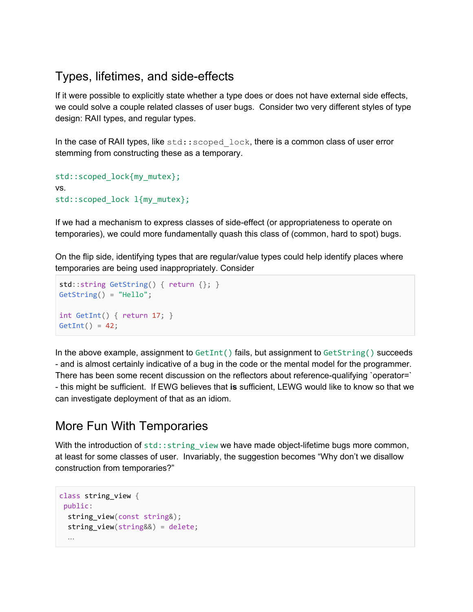## Types, lifetimes, and side-effects

If it were possible to explicitly state whether a type does or does not have external side effects, we could solve a couple related classes of user bugs. Consider two very different styles of type design: RAII types, and regular types.

In the case of RAII types, like  $std::secondlock$ , there is a common class of user error stemming from constructing these as a temporary.

```
std::scoped_lock{my_mutex};
vs.
std::scoped_lock l{my_mutex};
```
If we had a mechanism to express classes of side-effect (or appropriateness to operate on temporaries), we could more fundamentally quash this class of (common, hard to spot) bugs.

On the flip side, identifying types that are regular/value types could help identify places where temporaries are being used inappropriately. Consider

```
std::string GetString() { return {}; }
GetString() = "Hello";
int GetInt() { return 17; }
GetInt() = 42;
```
In the above example, assignment to  $Gettnt()$  fails, but assignment to  $Gettning()$  succeeds - and is almost certainly indicative of a bug in the code or the mental model for the programmer. There has been some recent discussion on the reflectors about reference-qualifying `operator=` - this might be sufficient. If EWG believes that **is** sufficient, LEWG would like to know so that we can investigate deployment of that as an idiom.

## More Fun With Temporaries

With the introduction of  $std$ :: $string$  view we have made object-lifetime bugs more common, at least for some classes of user. Invariably, the suggestion becomes "Why don't we disallow construction from temporaries?"

```
class string_view {
public:
 string_view(const string&);
 string view(string&&) = delete;
 …
```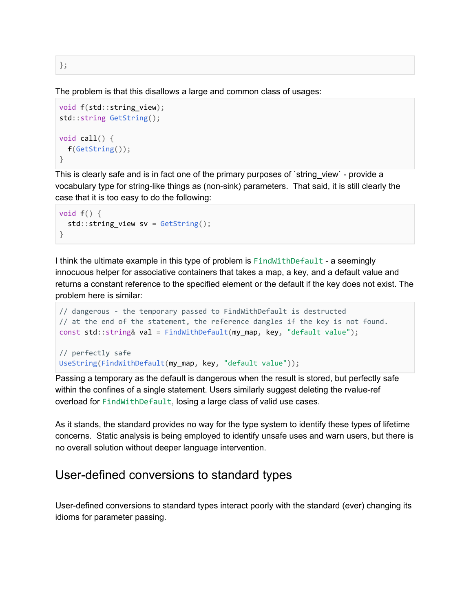};

The problem is that this disallows a large and common class of usages:

```
void f(std::string view);
std::string GetString();
void call() {
  f(GetString());
}
```
This is clearly safe and is in fact one of the primary purposes of `string\_view` - provide a vocabulary type for string-like things as (non-sink) parameters. That said, it is still clearly the case that it is too easy to do the following:

```
void f() \{std::string\_view sv = GetString();}
```
I think the ultimate example in this type of problem is FindWithDefault - a seemingly innocuous helper for associative containers that takes a map, a key, and a default value and returns a constant reference to the specified element or the default if the key does not exist. The problem here is similar:

```
// dangerous - the temporary passed to FindWithDefault is destructed
// at the end of the statement, the reference dangles if the key is not found.
const std::string& val = FindWithDefault(my map, key, "default value");
// perfectly safe
UseString(FindWithDefault(my_map, key, "default value"));
```
Passing a temporary as the default is dangerous when the result is stored, but perfectly safe within the confines of a single statement. Users similarly suggest deleting the rvalue-ref overload for FindWithDefault, losing a large class of valid use cases.

As it stands, the standard provides no way for the type system to identify these types of lifetime concerns. Static analysis is being employed to identify unsafe uses and warn users, but there is no overall solution without deeper language intervention.

#### User-defined conversions to standard types

User-defined conversions to standard types interact poorly with the standard (ever) changing its idioms for parameter passing.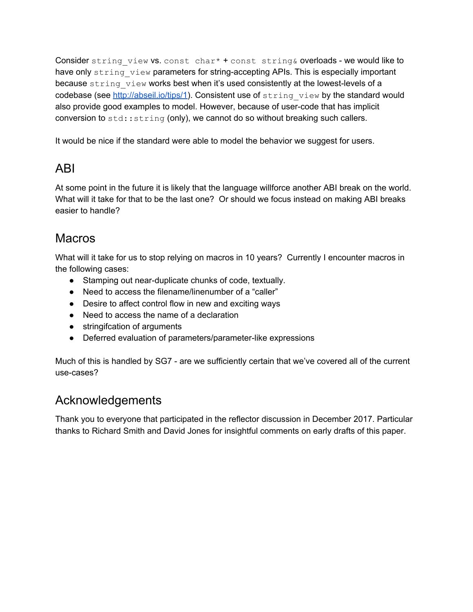Consider string view vs. const char\* + const string& overloads - we would like to have only string view parameters for string-accepting APIs. This is especially important because string view works best when it's used consistently at the lowest-levels of a codebase (see [http://abseil.io/tips/1\)](http://abseil.io/tips/1). Consistent use of  $string\ view$  by the standard would also provide good examples to model. However, because of user-code that has implicit conversion to  $stat:string$  (only), we cannot do so without breaking such callers.

It would be nice if the standard were able to model the behavior we suggest for users.

# ABI

At some point in the future it is likely that the language willforce another ABI break on the world. What will it take for that to be the last one? Or should we focus instead on making ABI breaks easier to handle?

## **Macros**

What will it take for us to stop relying on macros in 10 years? Currently I encounter macros in the following cases:

- Stamping out near-duplicate chunks of code, textually.
- Need to access the filename/linenumber of a "caller"
- Desire to affect control flow in new and exciting ways
- Need to access the name of a declaration
- stringifcation of arguments
- Deferred evaluation of parameters/parameter-like expressions

Much of this is handled by SG7 - are we sufficiently certain that we've covered all of the current use-cases?

## Acknowledgements

Thank you to everyone that participated in the reflector discussion in December 2017. Particular thanks to Richard Smith and David Jones for insightful comments on early drafts of this paper.